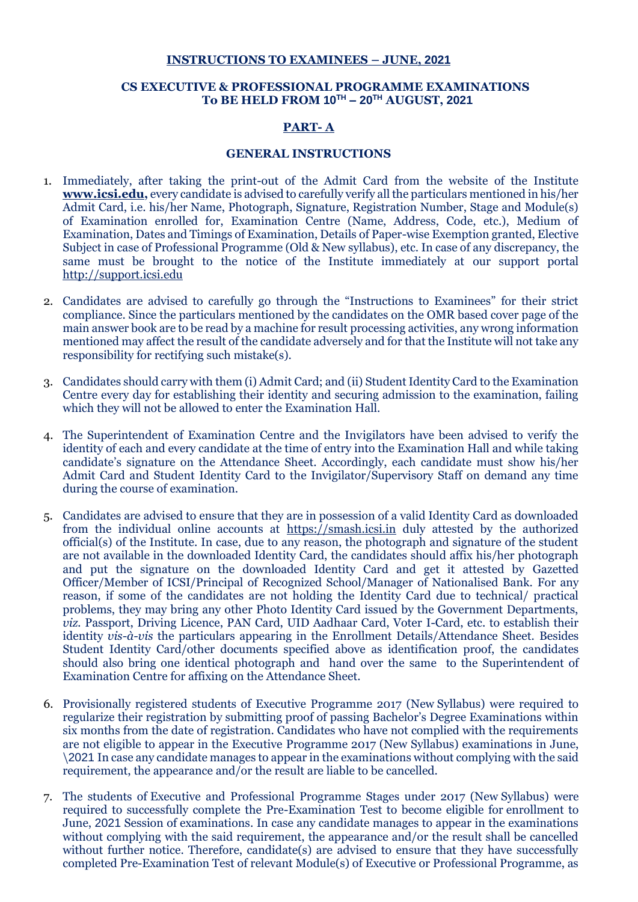#### **INSTRUCTIONS TO EXAMINEES – JUNE, 2021**

#### **CS EXECUTIVE & PROFESSIONAL PROGRAMME EXAMINATIONS To BE HELD FROM 10TH – 20TH AUGUST, 2021**

## **PART- A**

#### **GENERAL INSTRUCTIONS**

- 1. Immediately, after taking the print-out of the Admit Card from the website of the Institute **[www.icsi.edu,](http://www.icsi.edu/)** every candidate is advised to carefully verify all the particulars mentioned in his/her Admit Card, i.e. his/her Name, Photograph, Signature, Registration Number, Stage and Module(s) of Examination enrolled for, Examination Centre (Name, Address, Code, etc.), Medium of Examination, Dates and Timings of Examination, Details of Paper-wise Exemption granted, Elective Subject in case of Professional Programme (Old & New syllabus), etc. In case of any discrepancy, the same must be brought to the notice of the Institute immediately at our support portal [http://support.icsi.edu](http://support.icsi.edu/)
- 2. Candidates are advised to carefully go through the "Instructions to Examinees" for their strict compliance. Since the particulars mentioned by the candidates on the OMR based cover page of the main answer book are to be read by a machine for result processing activities, any wrong information mentioned may affect the result of the candidate adversely and for that the Institute will not take any responsibility for rectifying such mistake(s).
- 3. Candidates should carry with them (i) Admit Card; and (ii) Student Identity Card to the Examination Centre every day for establishing their identity and securing admission to the examination, failing which they will not be allowed to enter the Examination Hall.
- 4. The Superintendent of Examination Centre and the Invigilators have been advised to verify the identity of each and every candidate at the time of entry into the Examination Hall and while taking candidate's signature on the Attendance Sheet. Accordingly, each candidate must show his/her Admit Card and Student Identity Card to the Invigilator/Supervisory Staff on demand any time during the course of examination.
- 5. Candidates are advised to ensure that they are in possession of a valid Identity Card as downloaded from the individual online accounts at [https://smash.icsi.in](https://smash.icsi.in/) duly attested by the authorized official(s) of the Institute. In case, due to any reason, the photograph and signature of the student are not available in the downloaded Identity Card, the candidates should affix his/her photograph and put the signature on the downloaded Identity Card and get it attested by Gazetted Officer/Member of ICSI/Principal of Recognized School/Manager of Nationalised Bank. For any reason, if some of the candidates are not holding the Identity Card due to technical/ practical problems, they may bring any other Photo Identity Card issued by the Government Departments, *viz.* Passport, Driving Licence, PAN Card, UID Aadhaar Card, Voter I-Card, etc. to establish their identity *vis-à-vis* the particulars appearing in the Enrollment Details/Attendance Sheet. Besides Student Identity Card/other documents specified above as identification proof, the candidates should also bring one identical photograph and hand over the same to the Superintendent of Examination Centre for affixing on the Attendance Sheet.
- 6. Provisionally registered students of Executive Programme 2017 (New Syllabus) were required to regularize their registration by submitting proof of passing Bachelor's Degree Examinations within six months from the date of registration. Candidates who have not complied with the requirements are not eligible to appear in the Executive Programme 2017 (New Syllabus) examinations in June, \2021 In case any candidate manages to appear in the examinations without complying with the said requirement, the appearance and/or the result are liable to be cancelled.
- 7. The students of Executive and Professional Programme Stages under 2017 (New Syllabus) were required to successfully complete the Pre-Examination Test to become eligible for enrollment to June, 2021 Session of examinations. In case any candidate manages to appear in the examinations without complying with the said requirement, the appearance and/or the result shall be cancelled without further notice. Therefore, candidate(s) are advised to ensure that they have successfully completed Pre-Examination Test of relevant Module(s) of Executive or Professional Programme, as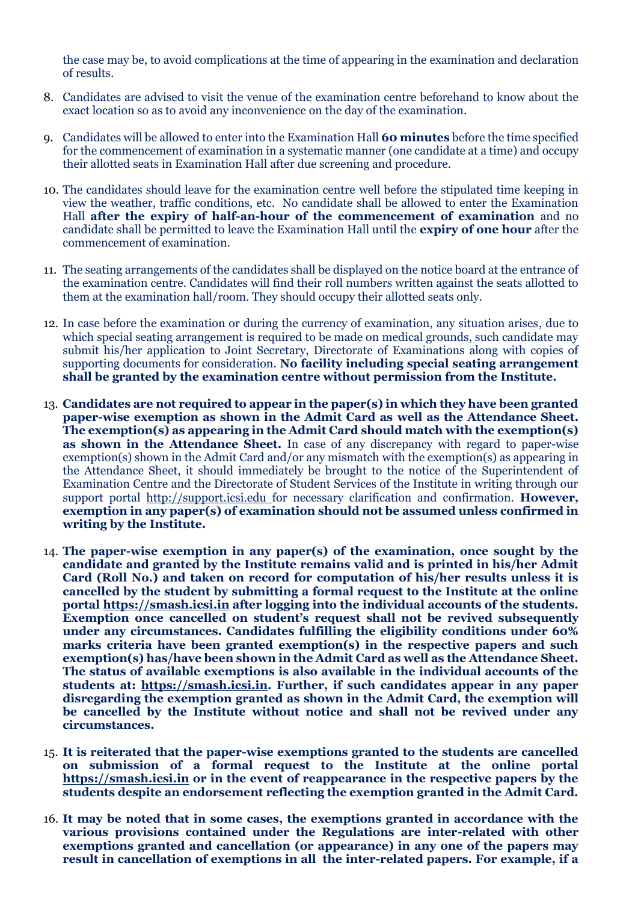the case may be, to avoid complications at the time of appearing in the examination and declaration of results.

- 8. Candidates are advised to visit the venue of the examination centre beforehand to know about the exact location so as to avoid any inconvenience on the day of the examination.
- 9. Candidates will be allowed to enter into the Examination Hall **60 minutes** before the time specified for the commencement of examination in a systematic manner (one candidate at a time) and occupy their allotted seats in Examination Hall after due screening and procedure.
- 10. The candidates should leave for the examination centre well before the stipulated time keeping in view the weather, traffic conditions, etc. No candidate shall be allowed to enter the Examination Hall **after the expiry of half-an-hour of the commencement of examination** and no candidate shall be permitted to leave the Examination Hall until the **expiry of one hour** after the commencement of examination.
- 11. The seating arrangements of the candidates shall be displayed on the notice board at the entrance of the examination centre. Candidates will find their roll numbers written against the seats allotted to them at the examination hall/room. They should occupy their allotted seats only.
- 12. In case before the examination or during the currency of examination, any situation arises, due to which special seating arrangement is required to be made on medical grounds, such candidate may submit his/her application to Joint Secretary, Directorate of Examinations along with copies of supporting documents for consideration. **No facility including special seating arrangement shall be granted by the examination centre without permission from the Institute.**
- 13. **Candidates are not required to appear in the paper(s) in which they have been granted paper-wise exemption as shown in the Admit Card as well as the Attendance Sheet. The exemption(s) as appearing in the Admit Card should match with the exemption(s) as shown in the Attendance Sheet.** In case of any discrepancy with regard to paper-wise exemption(s) shown in the Admit Card and/or any mismatch with the exemption(s) as appearing in the Attendance Sheet, it should immediately be brought to the notice of the Superintendent of Examination Centre and the Directorate of Student Services of the Institute in writing through our support portal [http://support.icsi.edu](http://support.icsi.edu/) for necessary clarification and confirmation. **However, exemption in any paper(s) of examination should not be assumed unless confirmed in writing by the Institute.**
- 14. **The paper-wise exemption in any paper(s) of the examination, once sought by the candidate and granted by the Institute remains valid and is printed in his/her Admit Card (Roll No.) and taken on record for computation of his/her results unless it is cancelled by the student by submitting a formal request to the Institute at the online portal [https://smash.icsi.in](https://smash.icsi.in/) after logging into the individual accounts of the students. Exemption once cancelled on student's request shall not be revived subsequently under any circumstances. Candidates fulfilling the eligibility conditions under 60% marks criteria have been granted exemption(s) in the respective papers and such exemption(s) has/have been shown in the Admit Card as well as the Attendance Sheet. The status of available exemptions is also available in the individual accounts of the students at: [https://smash.icsi.in.](https://smash.icsi.in/) Further, if such candidates appear in any paper disregarding the exemption granted as shown in the Admit Card, the exemption will be cancelled by the Institute without notice and shall not be revived under any circumstances.**
- 15. **It is reiterated that the paper-wise exemptions granted to the students are cancelled on submission of a formal request to the Institute at the online portal [https://smash.icsi.in](https://smash.icsi.in/) or in the event of reappearance in the respective papers by the students despite an endorsement reflecting the exemption granted in the Admit Card.**
- 16. **It may be noted that in some cases, the exemptions granted in accordance with the various provisions contained under the Regulations are inter-related with other exemptions granted and cancellation (or appearance) in any one of the papers may result in cancellation of exemptions in all the inter-related papers. For example, if a**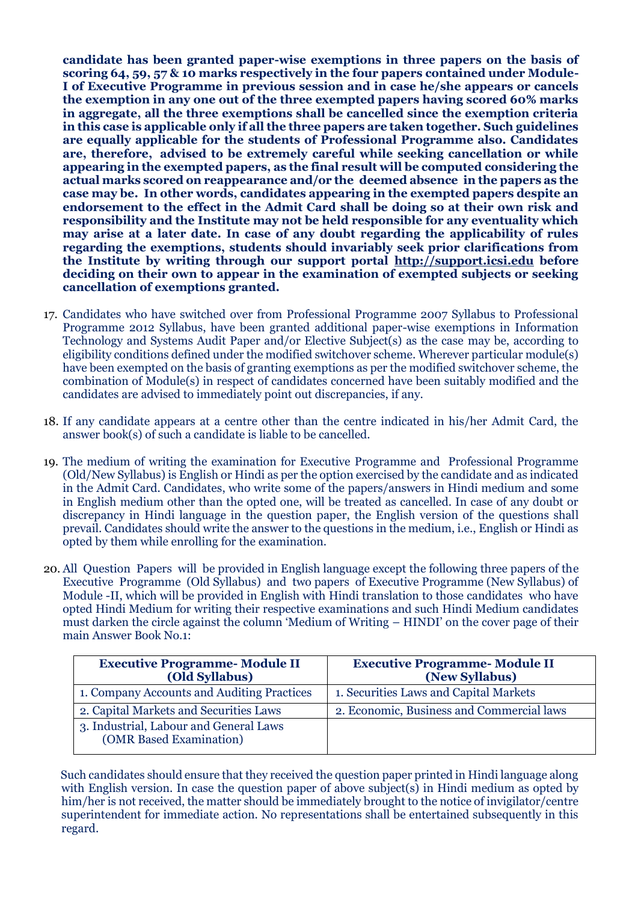**candidate has been granted paper-wise exemptions in three papers on the basis of scoring 64, 59, 57 & 10 marks respectively in the four papers contained under Module-I of Executive Programme in previous session and in case he/she appears or cancels the exemption in any one out of the three exempted papers having scored 60% marks in aggregate, all the three exemptions shall be cancelled since the exemption criteria in this case is applicable only if all the three papers are taken together. Such guidelines are equally applicable for the students of Professional Programme also. Candidates are, therefore, advised to be extremely careful while seeking cancellation or while appearing in the exempted papers, as the final result will be computed considering the actual marks scored on reappearance and/or the deemed absence in the papers as the case may be. In other words, candidates appearing in the exempted papers despite an endorsement to the effect in the Admit Card shall be doing so at their own risk and responsibility and the Institute may not be held responsible for any eventuality which may arise at a later date. In case of any doubt regarding the applicability of rules regarding the exemptions, students should invariably seek prior clarifications from the Institute by writing through our support portal [http://support.icsi.edu](http://support.icsi.edu/) before deciding on their own to appear in the examination of exempted subjects or seeking cancellation of exemptions granted.**

- 17. Candidates who have switched over from Professional Programme 2007 Syllabus to Professional Programme 2012 Syllabus, have been granted additional paper-wise exemptions in Information Technology and Systems Audit Paper and/or Elective Subject(s) as the case may be, according to eligibility conditions defined under the modified switchover scheme. Wherever particular module(s) have been exempted on the basis of granting exemptions as per the modified switchover scheme, the combination of Module(s) in respect of candidates concerned have been suitably modified and the candidates are advised to immediately point out discrepancies, if any.
- 18. If any candidate appears at a centre other than the centre indicated in his/her Admit Card, the answer book(s) of such a candidate is liable to be cancelled.
- 19. The medium of writing the examination for Executive Programme and Professional Programme (Old/New Syllabus) is English or Hindi as per the option exercised by the candidate and as indicated in the Admit Card. Candidates, who write some of the papers/answers in Hindi medium and some in English medium other than the opted one, will be treated as cancelled. In case of any doubt or discrepancy in Hindi language in the question paper, the English version of the questions shall prevail. Candidates should write the answer to the questions in the medium, i.e., English or Hindi as opted by them while enrolling for the examination.
- 20. All Question Papers will be provided in English language except the following three papers of the Executive Programme (Old Syllabus) and two papers of Executive Programme (New Syllabus) of Module -II, which will be provided in English with Hindi translation to those candidates who have opted Hindi Medium for writing their respective examinations and such Hindi Medium candidates must darken the circle against the column 'Medium of Writing – HINDI' on the cover page of their main Answer Book No.1:

| <b>Executive Programme-Module II</b><br>(Old Syllabus)            | <b>Executive Programme-Module II</b><br>(New Syllabus) |  |  |  |  |  |
|-------------------------------------------------------------------|--------------------------------------------------------|--|--|--|--|--|
| 1. Company Accounts and Auditing Practices                        | 1. Securities Laws and Capital Markets                 |  |  |  |  |  |
| 2. Capital Markets and Securities Laws                            | 2. Economic, Business and Commercial laws              |  |  |  |  |  |
| 3. Industrial, Labour and General Laws<br>(OMR Based Examination) |                                                        |  |  |  |  |  |

Such candidates should ensure that they received the question paper printed in Hindi language along with English version. In case the question paper of above subject(s) in Hindi medium as opted by him/her is not received, the matter should be immediately brought to the notice of invigilator/centre superintendent for immediate action. No representations shall be entertained subsequently in this regard.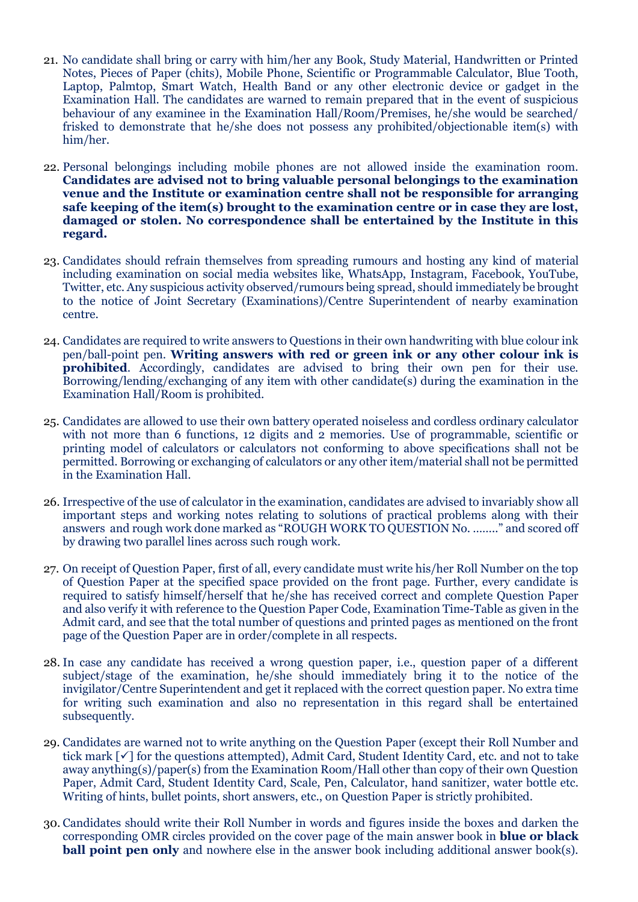- 21. No candidate shall bring or carry with him/her any Book, Study Material, Handwritten or Printed Notes, Pieces of Paper (chits), Mobile Phone, Scientific or Programmable Calculator, Blue Tooth, Laptop, Palmtop, Smart Watch, Health Band or any other electronic device or gadget in the Examination Hall. The candidates are warned to remain prepared that in the event of suspicious behaviour of any examinee in the Examination Hall/Room/Premises, he/she would be searched/ frisked to demonstrate that he/she does not possess any prohibited/objectionable item(s) with him/her.
- 22. Personal belongings including mobile phones are not allowed inside the examination room. **Candidates are advised not to bring valuable personal belongings to the examination venue and the Institute or examination centre shall not be responsible for arranging safe keeping of the item(s) brought to the examination centre or in case they are lost, damaged or stolen. No correspondence shall be entertained by the Institute in this regard.**
- 23. Candidates should refrain themselves from spreading rumours and hosting any kind of material including examination on social media websites like, WhatsApp, Instagram, Facebook, YouTube, Twitter, etc. Any suspicious activity observed/rumours being spread, should immediately be brought to the notice of Joint Secretary (Examinations)/Centre Superintendent of nearby examination centre.
- 24. Candidates are required to write answers to Questions in their own handwriting with blue colour ink pen/ball-point pen. **Writing answers with red or green ink or any other colour ink is prohibited**. Accordingly, candidates are advised to bring their own pen for their use. Borrowing/lending/exchanging of any item with other candidate(s) during the examination in the Examination Hall/Room is prohibited.
- 25. Candidates are allowed to use their own battery operated noiseless and cordless ordinary calculator with not more than 6 functions, 12 digits and 2 memories. Use of programmable, scientific or printing model of calculators or calculators not conforming to above specifications shall not be permitted. Borrowing or exchanging of calculators or any other item/material shall not be permitted in the Examination Hall.
- 26. Irrespective of the use of calculator in the examination, candidates are advised to invariably show all important steps and working notes relating to solutions of practical problems along with their answers and rough work done marked as "ROUGH WORK TO QUESTION No. …….." and scored off by drawing two parallel lines across such rough work.
- 27. On receipt of Question Paper, first of all, every candidate must write his/her Roll Number on the top of Question Paper at the specified space provided on the front page. Further, every candidate is required to satisfy himself/herself that he/she has received correct and complete Question Paper and also verify it with reference to the Question Paper Code, Examination Time-Table as given in the Admit card, and see that the total number of questions and printed pages as mentioned on the front page of the Question Paper are in order/complete in all respects.
- 28. In case any candidate has received a wrong question paper, i.e., question paper of a different subject/stage of the examination, he/she should immediately bring it to the notice of the invigilator/Centre Superintendent and get it replaced with the correct question paper. No extra time for writing such examination and also no representation in this regard shall be entertained subsequently.
- 29. Candidates are warned not to write anything on the Question Paper (except their Roll Number and tick mark  $[\checkmark]$  for the questions attempted), Admit Card, Student Identity Card, etc. and not to take away anything(s)/paper(s) from the Examination Room/Hall other than copy of their own Question Paper, Admit Card, Student Identity Card, Scale, Pen, Calculator, hand sanitizer, water bottle etc. Writing of hints, bullet points, short answers, etc., on Question Paper is strictly prohibited.
- 30. Candidates should write their Roll Number in words and figures inside the boxes and darken the corresponding OMR circles provided on the cover page of the main answer book in **blue or black ball point pen only** and nowhere else in the answer book including additional answer book(s).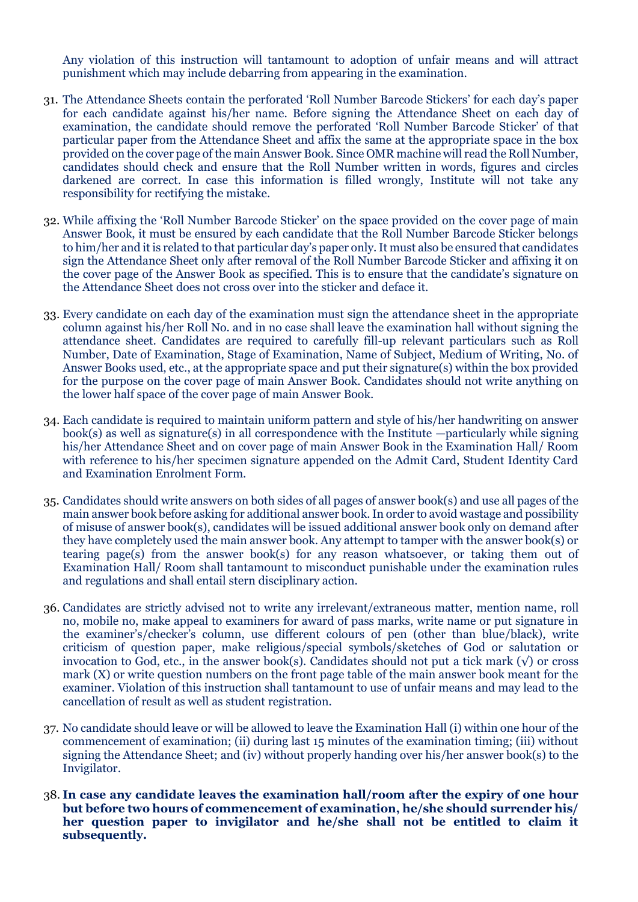Any violation of this instruction will tantamount to adoption of unfair means and will attract punishment which may include debarring from appearing in the examination.

- 31. The Attendance Sheets contain the perforated 'Roll Number Barcode Stickers' for each day's paper for each candidate against his/her name. Before signing the Attendance Sheet on each day of examination, the candidate should remove the perforated 'Roll Number Barcode Sticker' of that particular paper from the Attendance Sheet and affix the same at the appropriate space in the box provided on the cover page of the main Answer Book. Since OMR machine will read the Roll Number, candidates should check and ensure that the Roll Number written in words, figures and circles darkened are correct. In case this information is filled wrongly, Institute will not take any responsibility for rectifying the mistake.
- 32. While affixing the 'Roll Number Barcode Sticker' on the space provided on the cover page of main Answer Book, it must be ensured by each candidate that the Roll Number Barcode Sticker belongs to him/her and it is related to that particular day's paper only. It must also be ensured that candidates sign the Attendance Sheet only after removal of the Roll Number Barcode Sticker and affixing it on the cover page of the Answer Book as specified. This is to ensure that the candidate's signature on the Attendance Sheet does not cross over into the sticker and deface it.
- 33. Every candidate on each day of the examination must sign the attendance sheet in the appropriate column against his/her Roll No. and in no case shall leave the examination hall without signing the attendance sheet. Candidates are required to carefully fill-up relevant particulars such as Roll Number, Date of Examination, Stage of Examination, Name of Subject, Medium of Writing, No. of Answer Books used, etc., at the appropriate space and put their signature(s) within the box provided for the purpose on the cover page of main Answer Book. Candidates should not write anything on the lower half space of the cover page of main Answer Book.
- 34. Each candidate is required to maintain uniform pattern and style of his/her handwriting on answer book(s) as well as signature(s) in all correspondence with the Institute —particularly while signing his/her Attendance Sheet and on cover page of main Answer Book in the Examination Hall/ Room with reference to his/her specimen signature appended on the Admit Card, Student Identity Card and Examination Enrolment Form.
- 35. Candidates should write answers on both sides of all pages of answer book(s) and use all pages of the main answer book before asking for additional answer book. In order to avoid wastage and possibility of misuse of answer book(s), candidates will be issued additional answer book only on demand after they have completely used the main answer book. Any attempt to tamper with the answer book(s) or tearing page(s) from the answer book(s) for any reason whatsoever, or taking them out of Examination Hall/ Room shall tantamount to misconduct punishable under the examination rules and regulations and shall entail stern disciplinary action.
- 36. Candidates are strictly advised not to write any irrelevant/extraneous matter, mention name, roll no, mobile no, make appeal to examiners for award of pass marks, write name or put signature in the examiner's/checker's column, use different colours of pen (other than blue/black), write criticism of question paper, make religious/special symbols/sketches of God or salutation or invocation to God, etc., in the answer book(s). Candidates should not put a tick mark  $(\sqrt{\ })$  or cross mark (X) or write question numbers on the front page table of the main answer book meant for the examiner. Violation of this instruction shall tantamount to use of unfair means and may lead to the cancellation of result as well as student registration.
- 37. No candidate should leave or will be allowed to leave the Examination Hall (i) within one hour of the commencement of examination; (ii) during last 15 minutes of the examination timing; (iii) without signing the Attendance Sheet; and (iv) without properly handing over his/her answer book(s) to the Invigilator.
- 38. **In case any candidate leaves the examination hall/room after the expiry of one hour but before two hours of commencement of examination, he/she should surrender his/ her question paper to invigilator and he/she shall not be entitled to claim it subsequently.**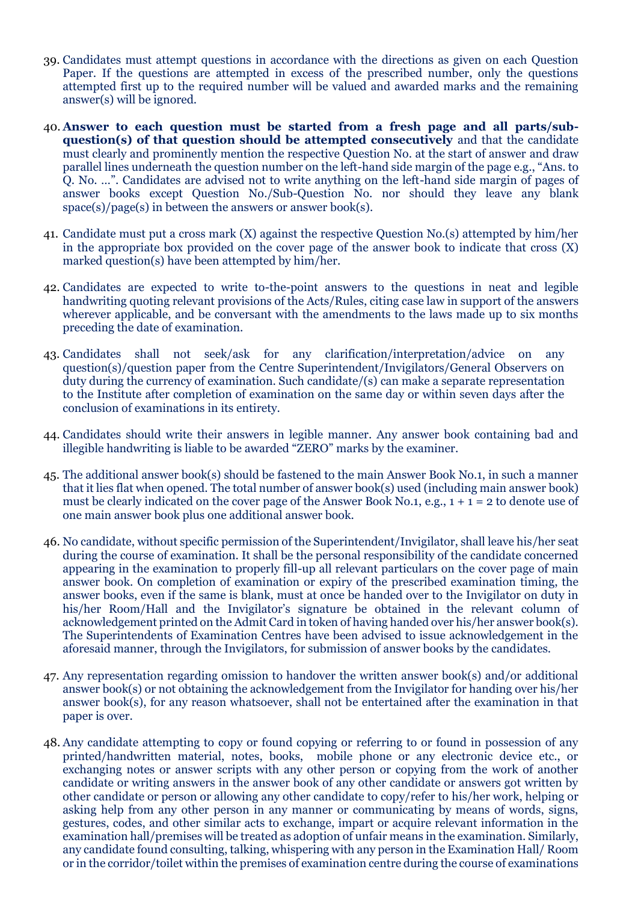- 39. Candidates must attempt questions in accordance with the directions as given on each Question Paper. If the questions are attempted in excess of the prescribed number, only the questions attempted first up to the required number will be valued and awarded marks and the remaining answer(s) will be ignored.
- 40. **Answer to each question must be started from a fresh page and all parts/subquestion(s) of that question should be attempted consecutively** and that the candidate must clearly and prominently mention the respective Question No. at the start of answer and draw parallel lines underneath the question number on the left-hand side margin of the page e.g., "Ans. to Q. No. …". Candidates are advised not to write anything on the left-hand side margin of pages of answer books except Question No./Sub-Question No. nor should they leave any blank space(s)/page(s) in between the answers or answer book(s).
- 41. Candidate must put a cross mark (X) against the respective Question No.(s) attempted by him/her in the appropriate box provided on the cover page of the answer book to indicate that cross (X) marked question(s) have been attempted by him/her.
- 42. Candidates are expected to write to-the-point answers to the questions in neat and legible handwriting quoting relevant provisions of the Acts/Rules, citing case law in support of the answers wherever applicable, and be conversant with the amendments to the laws made up to six months preceding the date of examination.
- 43. Candidates shall not seek/ask for any clarification/interpretation/advice on any question(s)/question paper from the Centre Superintendent/Invigilators/General Observers on duty during the currency of examination. Such candidate/(s) can make a separate representation to the Institute after completion of examination on the same day or within seven days after the conclusion of examinations in its entirety.
- 44. Candidates should write their answers in legible manner. Any answer book containing bad and illegible handwriting is liable to be awarded "ZERO" marks by the examiner.
- 45. The additional answer book(s) should be fastened to the main Answer Book No.1, in such a manner that it lies flat when opened. The total number of answer book(s) used (including main answer book) must be clearly indicated on the cover page of the Answer Book No.1, e.g.,  $1 + 1 = 2$  to denote use of one main answer book plus one additional answer book.
- 46. No candidate, without specific permission of the Superintendent/Invigilator, shall leave his/her seat during the course of examination. It shall be the personal responsibility of the candidate concerned appearing in the examination to properly fill-up all relevant particulars on the cover page of main answer book. On completion of examination or expiry of the prescribed examination timing, the answer books, even if the same is blank, must at once be handed over to the Invigilator on duty in his/her Room/Hall and the Invigilator's signature be obtained in the relevant column of acknowledgement printed on the Admit Card in token of having handed over his/her answer book(s). The Superintendents of Examination Centres have been advised to issue acknowledgement in the aforesaid manner, through the Invigilators, for submission of answer books by the candidates.
- 47. Any representation regarding omission to handover the written answer book(s) and/or additional answer book(s) or not obtaining the acknowledgement from the Invigilator for handing over his/her answer book(s), for any reason whatsoever, shall not be entertained after the examination in that paper is over.
- 48. Any candidate attempting to copy or found copying or referring to or found in possession of any printed/handwritten material, notes, books, mobile phone or any electronic device etc., or exchanging notes or answer scripts with any other person or copying from the work of another candidate or writing answers in the answer book of any other candidate or answers got written by other candidate or person or allowing any other candidate to copy/refer to his/her work, helping or asking help from any other person in any manner or communicating by means of words, signs, gestures, codes, and other similar acts to exchange, impart or acquire relevant information in the examination hall/premises will be treated as adoption of unfair means in the examination. Similarly, any candidate found consulting, talking, whispering with any person in the Examination Hall/ Room or in the corridor/toilet within the premises of examination centre during the course of examinations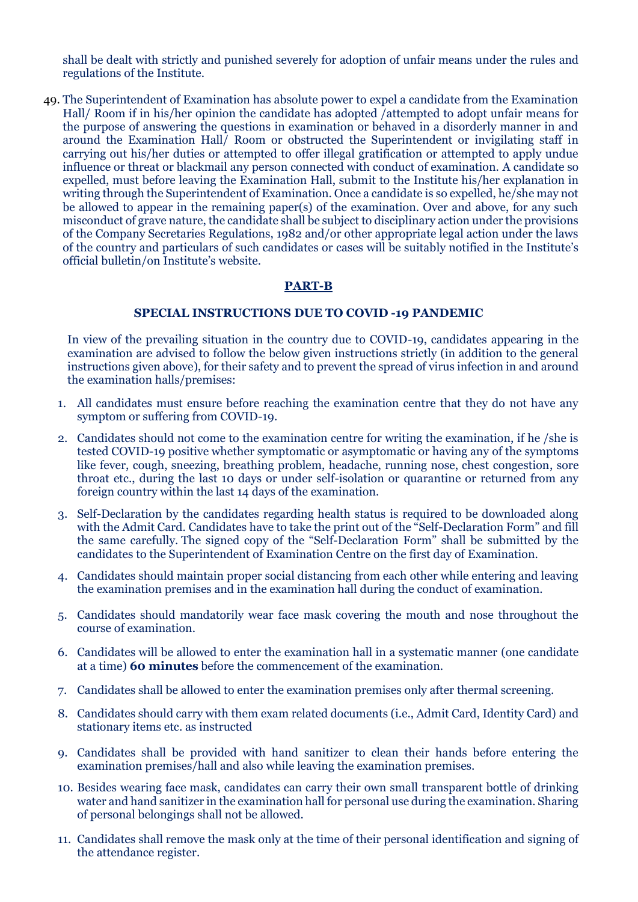shall be dealt with strictly and punished severely for adoption of unfair means under the rules and regulations of the Institute.

49. The Superintendent of Examination has absolute power to expel a candidate from the Examination Hall/ Room if in his/her opinion the candidate has adopted *l* attempted to adopt unfair means for the purpose of answering the questions in examination or behaved in a disorderly manner in and around the Examination Hall/ Room or obstructed the Superintendent or invigilating staff in carrying out his/her duties or attempted to offer illegal gratification or attempted to apply undue influence or threat or blackmail any person connected with conduct of examination. A candidate so expelled, must before leaving the Examination Hall, submit to the Institute his/her explanation in writing through the Superintendent of Examination. Once a candidate is so expelled, he/she may not be allowed to appear in the remaining paper(s) of the examination. Over and above, for any such misconduct of grave nature, the candidate shall be subject to disciplinary action under the provisions of the Company Secretaries Regulations, 1982 and/or other appropriate legal action under the laws of the country and particulars of such candidates or cases will be suitably notified in the Institute's official bulletin/on Institute's website.

#### **PART-B**

#### **SPECIAL INSTRUCTIONS DUE TO COVID -19 PANDEMIC**

In view of the prevailing situation in the country due to COVID-19, candidates appearing in the examination are advised to follow the below given instructions strictly (in addition to the general instructions given above), for their safety and to prevent the spread of virus infection in and around the examination halls/premises:

- 1. All candidates must ensure before reaching the examination centre that they do not have any symptom or suffering from COVID-19.
- 2. Candidates should not come to the examination centre for writing the examination, if he /she is tested COVID-19 positive whether symptomatic or asymptomatic or having any of the symptoms like fever, cough, sneezing, breathing problem, headache, running nose, chest congestion, sore throat etc., during the last 10 days or under self-isolation or quarantine or returned from any foreign country within the last 14 days of the examination.
- 3. Self-Declaration by the candidates regarding health status is required to be downloaded along with the Admit Card. Candidates have to take the print out of the "Self-Declaration Form" and fill the same carefully. The signed copy of the "Self-Declaration Form" shall be submitted by the candidates to the Superintendent of Examination Centre on the first day of Examination.
- 4. Candidates should maintain proper social distancing from each other while entering and leaving the examination premises and in the examination hall during the conduct of examination.
- 5. Candidates should mandatorily wear face mask covering the mouth and nose throughout the course of examination.
- 6. Candidates will be allowed to enter the examination hall in a systematic manner (one candidate at a time) **60 minutes** before the commencement of the examination.
- 7. Candidates shall be allowed to enter the examination premises only after thermal screening.
- 8. Candidates should carry with them exam related documents (i.e., Admit Card, Identity Card) and stationary items etc. as instructed
- 9. Candidates shall be provided with hand sanitizer to clean their hands before entering the examination premises/hall and also while leaving the examination premises.
- 10. Besides wearing face mask, candidates can carry their own small transparent bottle of drinking water and hand sanitizer in the examination hall for personal use during the examination. Sharing of personal belongings shall not be allowed.
- 11. Candidates shall remove the mask only at the time of their personal identification and signing of the attendance register.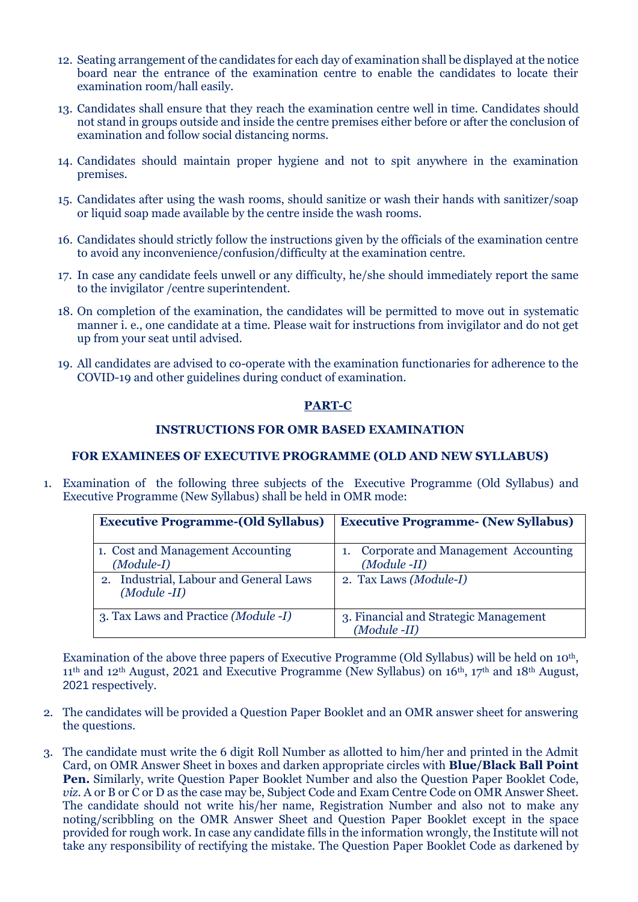- 12. Seating arrangement of the candidates for each day of examination shall be displayed at the notice board near the entrance of the examination centre to enable the candidates to locate their examination room/hall easily.
- 13. Candidates shall ensure that they reach the examination centre well in time. Candidates should not stand in groups outside and inside the centre premises either before or after the conclusion of examination and follow social distancing norms.
- 14. Candidates should maintain proper hygiene and not to spit anywhere in the examination premises.
- 15. Candidates after using the wash rooms, should sanitize or wash their hands with sanitizer/soap or liquid soap made available by the centre inside the wash rooms.
- 16. Candidates should strictly follow the instructions given by the officials of the examination centre to avoid any inconvenience/confusion/difficulty at the examination centre.
- 17. In case any candidate feels unwell or any difficulty, he/she should immediately report the same to the invigilator /centre superintendent.
- 18. On completion of the examination, the candidates will be permitted to move out in systematic manner i. e., one candidate at a time. Please wait for instructions from invigilator and do not get up from your seat until advised.
- 19. All candidates are advised to co-operate with the examination functionaries for adherence to the COVID-19 and other guidelines during conduct of examination.

#### **PART-C**

#### **INSTRUCTIONS FOR OMR BASED EXAMINATION**

#### **FOR EXAMINEES OF EXECUTIVE PROGRAMME (OLD AND NEW SYLLABUS)**

1. Examination of the following three subjects of the Executive Programme (Old Syllabus) and Executive Programme (New Syllabus) shall be held in OMR mode:

| <b>Executive Programme-(Old Syllabus)</b>                   | <b>Executive Programme- (New Syllabus)</b><br>1. Corporate and Management Accounting<br>$(Module -II)$<br>2. Tax Laws (Module-I) |  |  |  |  |  |
|-------------------------------------------------------------|----------------------------------------------------------------------------------------------------------------------------------|--|--|--|--|--|
| 1. Cost and Management Accounting<br>$(Module-I)$           |                                                                                                                                  |  |  |  |  |  |
| Industrial, Labour and General Laws<br>2.<br>$(Module -II)$ |                                                                                                                                  |  |  |  |  |  |
| 3. Tax Laws and Practice (Module -I)                        | 3. Financial and Strategic Management<br>$(Module -II)$                                                                          |  |  |  |  |  |

Examination of the above three papers of Executive Programme (Old Syllabus) will be held on 10th, 11th and 12th August, 2021 and Executive Programme (New Syllabus) on 16th, 17th and 18th August, 2021 respectively.

- 2. The candidates will be provided a Question Paper Booklet and an OMR answer sheet for answering the questions.
- 3. The candidate must write the 6 digit Roll Number as allotted to him/her and printed in the Admit Card, on OMR Answer Sheet in boxes and darken appropriate circles with **Blue/Black Ball Point Pen.** Similarly, write Question Paper Booklet Number and also the Question Paper Booklet Code, *viz.* A or B or C or D as the case may be, Subject Code and Exam Centre Code on OMR Answer Sheet. The candidate should not write his/her name, Registration Number and also not to make any noting/scribbling on the OMR Answer Sheet and Question Paper Booklet except in the space provided for rough work. In case any candidate fills in the information wrongly, the Institute will not take any responsibility of rectifying the mistake. The Question Paper Booklet Code as darkened by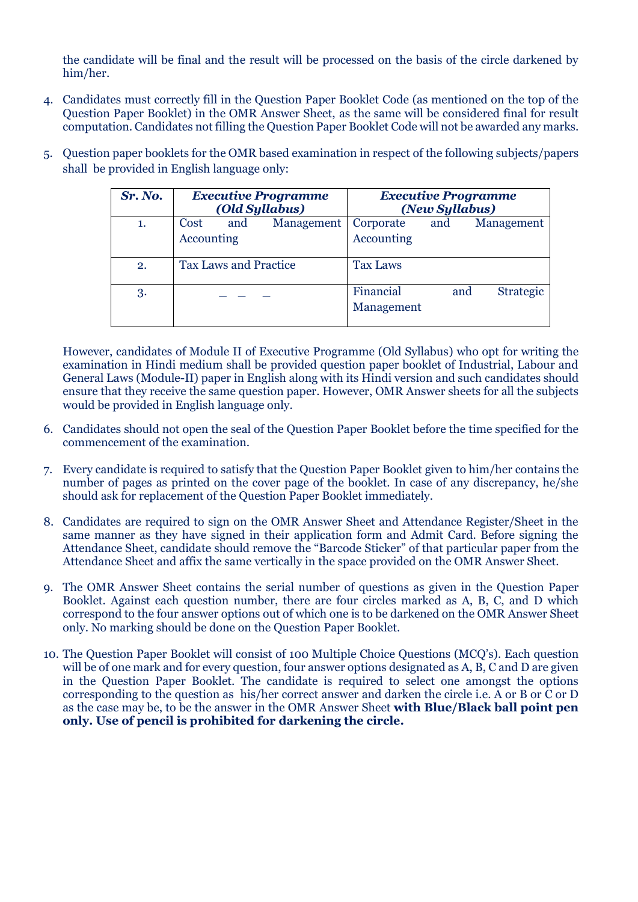the candidate will be final and the result will be processed on the basis of the circle darkened by him/her.

- 4. Candidates must correctly fill in the Question Paper Booklet Code (as mentioned on the top of the Question Paper Booklet) in the OMR Answer Sheet, as the same will be considered final for result computation. Candidates not filling the Question Paper Booklet Code will not be awarded any marks.
- 5. Question paper booklets for the OMR based examination in respect of the following subjects/papers shall be provided in English language only:

| Sr. No. | <b>Executive Programme</b><br>(Old Syllabus) | <b>Executive Programme</b><br>(New Syllabus)       |  |  |  |  |
|---------|----------------------------------------------|----------------------------------------------------|--|--|--|--|
| 1.      | Cost<br>Management<br>and<br>Accounting      | Corporate<br>Management<br>and<br>Accounting       |  |  |  |  |
| 2.      | <b>Tax Laws and Practice</b>                 | <b>Tax Laws</b>                                    |  |  |  |  |
| 3.      |                                              | Financial<br><b>Strategic</b><br>and<br>Management |  |  |  |  |

However, candidates of Module II of Executive Programme (Old Syllabus) who opt for writing the examination in Hindi medium shall be provided question paper booklet of Industrial, Labour and General Laws (Module-II) paper in English along with its Hindi version and such candidates should ensure that they receive the same question paper. However, OMR Answer sheets for all the subjects would be provided in English language only.

- 6. Candidates should not open the seal of the Question Paper Booklet before the time specified for the commencement of the examination.
- 7. Every candidate is required to satisfy that the Question Paper Booklet given to him/her contains the number of pages as printed on the cover page of the booklet. In case of any discrepancy, he/she should ask for replacement of the Question Paper Booklet immediately.
- 8. Candidates are required to sign on the OMR Answer Sheet and Attendance Register/Sheet in the same manner as they have signed in their application form and Admit Card. Before signing the Attendance Sheet, candidate should remove the "Barcode Sticker" of that particular paper from the Attendance Sheet and affix the same vertically in the space provided on the OMR Answer Sheet.
- 9. The OMR Answer Sheet contains the serial number of questions as given in the Question Paper Booklet. Against each question number, there are four circles marked as A, B, C, and D which correspond to the four answer options out of which one is to be darkened on the OMR Answer Sheet only. No marking should be done on the Question Paper Booklet.
- 10. The Question Paper Booklet will consist of 100 Multiple Choice Questions (MCQ's). Each question will be of one mark and for every question, four answer options designated as A, B, C and D are given in the Question Paper Booklet. The candidate is required to select one amongst the options corresponding to the question as his/her correct answer and darken the circle i.e. A or B or C or D as the case may be, to be the answer in the OMR Answer Sheet **with Blue/Black ball point pen only. Use of pencil is prohibited for darkening the circle.**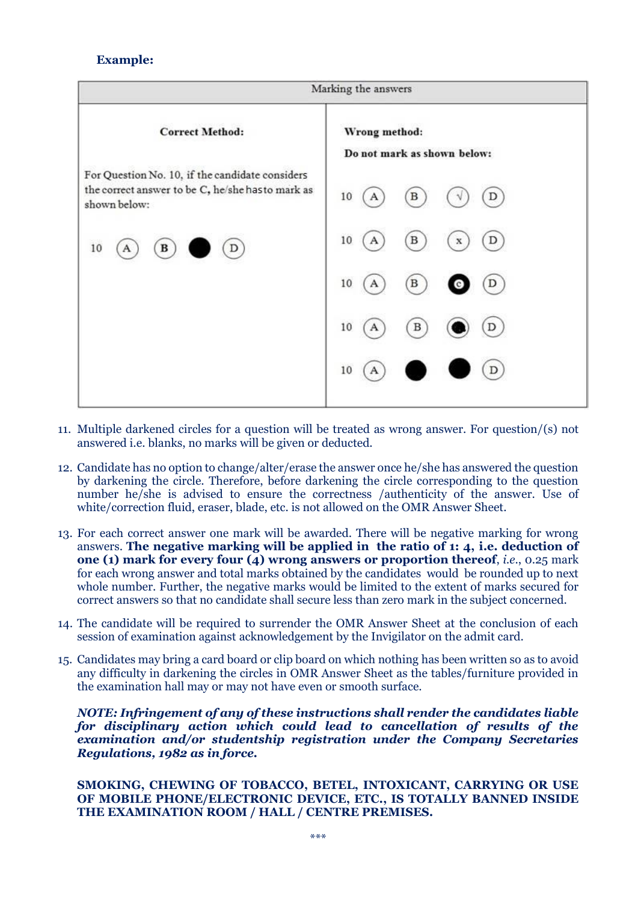## **Example:**



- 11. Multiple darkened circles for a question will be treated as wrong answer. For question/(s) not answered i.e. blanks, no marks will be given or deducted.
- 12. Candidate has no option to change/alter/erase the answer once he/she has answered the question by darkening the circle. Therefore, before darkening the circle corresponding to the question number he/she is advised to ensure the correctness /authenticity of the answer. Use of white/correction fluid, eraser, blade, etc. is not allowed on the OMR Answer Sheet.
- 13. For each correct answer one mark will be awarded. There will be negative marking for wrong answers. **The negative marking will be applied in the ratio of 1: 4, i.e. deduction of one (1) mark for every four (4) wrong answers or proportion thereof**, *i.e*., 0.25 mark for each wrong answer and total marks obtained by the candidates would be rounded up to next whole number. Further, the negative marks would be limited to the extent of marks secured for correct answers so that no candidate shall secure less than zero mark in the subject concerned.
- 14. The candidate will be required to surrender the OMR Answer Sheet at the conclusion of each session of examination against acknowledgement by the Invigilator on the admit card.
- 15. Candidates may bring a card board or clip board on which nothing has been written so as to avoid any difficulty in darkening the circles in OMR Answer Sheet as the tables/furniture provided in the examination hall may or may not have even or smooth surface.

*NOTE: Infringement of any of these instructions shall render the candidates liable for disciplinary action which could lead to cancellation of results of the examination and/or studentship registration under the Company Secretaries Regulations, 1982 as in force.*

#### **SMOKING, CHEWING OF TOBACCO, BETEL, INTOXICANT, CARRYING OR USE OF MOBILE PHONE/ELECTRONIC DEVICE, ETC., IS TOTALLY BANNED INSIDE THE EXAMINATION ROOM / HALL / CENTRE PREMISES.**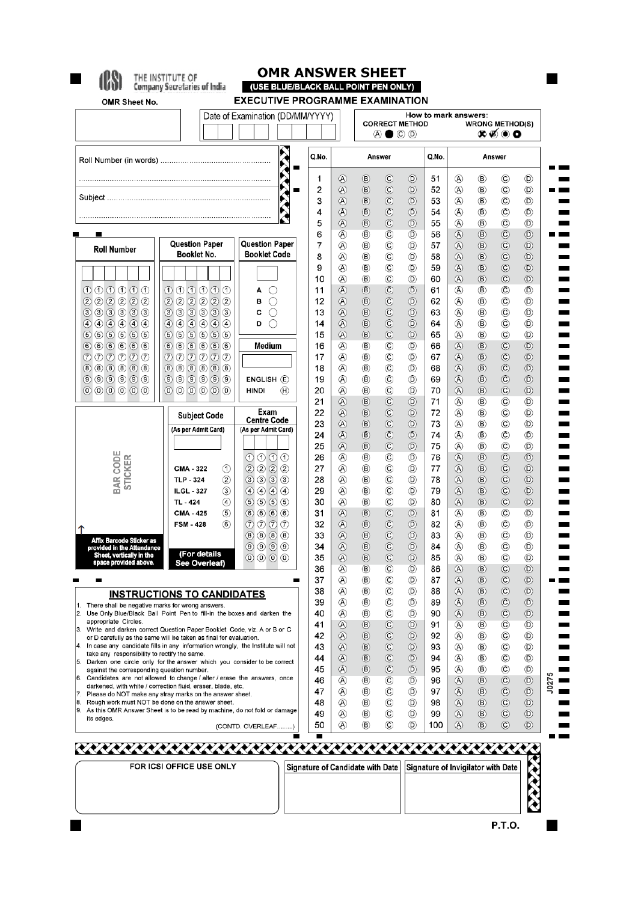$\blacksquare$ 

# **4DON** THE INSTITUTE OF

# **OMR ANSWER SHEET**

|                                                                |                                                                                                                                                     | Date of Examination (DD/MM/YYYY)                                          |          |                            | How to mark answers:<br><b>CORRECT METHOD</b><br><b>WRONG METHOD(S)</b> |                                                  |                                  |           |                                  |                                  |                                  |                                  |
|----------------------------------------------------------------|-----------------------------------------------------------------------------------------------------------------------------------------------------|---------------------------------------------------------------------------|----------|----------------------------|-------------------------------------------------------------------------|--------------------------------------------------|----------------------------------|-----------|----------------------------------|----------------------------------|----------------------------------|----------------------------------|
|                                                                |                                                                                                                                                     |                                                                           |          |                            |                                                                         | $\circledcirc \bullet \circledcirc \circledcirc$ |                                  |           | ๛๏๎๏๐                            |                                  |                                  |                                  |
| $\hat{\lambda}$                                                |                                                                                                                                                     |                                                                           | Q.No.    |                            | Answer                                                                  |                                                  | Q.No.                            | Answer    |                                  |                                  |                                  |                                  |
|                                                                |                                                                                                                                                     |                                                                           | 1        | ⊛                          | $^{\circledR}$                                                          | $^\copyright$                                    | $^{\circ}$                       | 51        | ⊛                                | $^{\circledR}$                   | $^\copyright$                    | $\circledR$                      |
|                                                                |                                                                                                                                                     |                                                                           | 2<br>3   | $^{\circledR}$             | $^\circledR$                                                            | $\odot$<br>$\odot$                               | $^{\circ}$                       | 52<br>53  | ⊛                                | $^{\circledR}$                   | $\circledcirc$<br>$^{\circ}$     | $^{\circledR}$                   |
|                                                                |                                                                                                                                                     |                                                                           | 4        | $^{\circledR}$<br>⊛        | $^\circledR$<br>$\circledR$                                             | $\odot$                                          | $^{\circ}$<br>$^{\circ}$         | 54        | ⊛<br>⊛                           | $\circledR$<br>$^{\circledR}$    | $\circled{c}$                    | $^{\circledR}$<br>◉              |
|                                                                |                                                                                                                                                     |                                                                           | 5        | $\circledA$                | $^{\circledR}$                                                          | $\odot$                                          | $^{\circ}$                       | 55        | $^{\circledR}$                   | $\circledR$                      | $\circledcirc$                   | $^{\circledR}$                   |
|                                                                |                                                                                                                                                     |                                                                           | 6        | ⊛                          | $^{\circledR}$                                                          | $\circled{c}$                                    | $^{\circ}$                       | 56        | $\circledA$                      | $^\circledR$                     | $\circledcirc$                   | $^{\circ}$                       |
| <b>Roll Number</b>                                             | <b>Question Paper</b>                                                                                                                               | <b>Question Paper</b>                                                     | 7        | ⊛                          | $^{\circledR}$                                                          | $^{\circ}$                                       | $^{\circledR}$                   | 57        | $^{\circledR}$                   | $^{\circledR}$                   | $\circledcirc$                   | $^{\circ}$                       |
|                                                                | Booklet No.                                                                                                                                         | <b>Booklet Code</b>                                                       | 8        | ⊛                          | $^{\circledR}$                                                          | $\circled{c}$                                    | $^{\circ}$                       | 58        | $\circledA$                      | $^{\circledR}$                   | $\odot$                          | $^{\circ}$                       |
|                                                                |                                                                                                                                                     |                                                                           | 9        | ⊛                          | $^{\circledR}$                                                          | $\circled{c}$                                    | $^{\circ}$                       | 59        | $^{\circledR}$                   | $^{\circledR}$                   | $\odot$                          | $^{\circ}$                       |
| $\begin{array}{c} 0 & 0 & 0 & 0 & 0 \end{array}$               | $\begin{array}{c} 0 & 0 & 0 & 0 & 0 \end{array}$                                                                                                    | А<br>0                                                                    | 10<br>11 | $^{\circledR}$<br>⊛        | $^{\circledR}$<br>$^\circledR$                                          | $^\copyright$<br>$\circledcirc$                  | $^{\circ}$<br>$^{\circ}$         | 60<br>61  | $^{\circledR}$<br>⊛              | $\circledR$<br>$\circledR$       | $\circledcirc$<br>$\circledc$    | $^{\circ}$<br>$^{\circledR}$     |
| (2) (2) (2) (2)                                                | (2) (2) (2) (2) (2)                                                                                                                                 | ∩<br>В                                                                    | 12       | $^{\circledR}$             | $^\circledR$                                                            | $\odot$                                          | $\circledcirc$                   | 62        | ⊛                                | $^{\circledR}$                   | $\circledcirc$                   | $^{\circ}$                       |
| 333333                                                         | 333333                                                                                                                                              | O<br>С                                                                    | 13       | ⊛                          | $^\circledR$                                                            | $\copyright$                                     | $^{\copyright}$                  | 63        | ⊛                                | $^{\circledR}$                   | $\circled{c}$                    | ◉                                |
| (4) (4) (4) (4) (4) (4)                                        | (4) (4) (4) (4) (4) (4)                                                                                                                             | 0<br>D                                                                    | 14       | $\circledA$                | $^{\circledR}$                                                          | $\odot$                                          | $^{\circ}$                       | 64        | ⊛                                | $^{\circledR}$                   | $\circled{c}$                    | O)                               |
| (5)(5)(5)(5)(5)(5)                                             | (5)(5)(5)(5)(5)(5)                                                                                                                                  |                                                                           | 15       | $^{\circledR}$             | $\circledR$                                                             | $\odot$                                          | $^{\circ}$                       | 65        | ⊛                                | $\circledR$                      | $\circledcirc$                   | $^{\circledR}$                   |
| 66666<br>$\circledcirc \circledcirc \circledcirc \circledcirc$ | 666666<br>$\circledcirc \circledcirc \circledcirc \circledcirc$                                                                                     | Medium                                                                    | 16<br>17 | ⊛<br>⊛                     | $^{\circledR}$<br>$^{\circledR}$                                        | $^\copyright$<br>$\circledcirc$                  | $^{\circ}$<br>$^{\circ}$         | 66<br>67  | $\circledA$<br>$^\circledR$      | $^{\circledR}$<br>$^\circledR$   | $\odot$<br>$\circledcirc$        | $^{\circledR}$<br>$^{\circ}$     |
| $(8)(6)(6)(6)(6)(6)$                                           | 888888                                                                                                                                              |                                                                           | 18       | ⊛                          | $^{\circledR}$                                                          | $\circled{c}$                                    | $^{\circ}$                       | 68        | $^{\circledR}$                   | $^{\circledR}$                   | $\odot$                          | $\circledcirc$                   |
| (9) (9) (9) (9) (9)                                            | (9) (9) (9) (9) (9)                                                                                                                                 | ENGLISH(E)                                                                | 19       | @                          | $^{\circledR}$                                                          | $\circled{c}$                                    | ®                                | 69        | $^{\circledR}$                   | $^{\circledR}$                   | $\odot$                          | $^{\circ}$                       |
| 000000                                                         | 000000                                                                                                                                              | <b>HINDI</b><br>(H)                                                       | 20       | ⊛                          | $^{\circledR}$                                                          | $^{\circ}$                                       | $^{\circ}$                       | 70        | $\circledR$                      | $\circledR$                      | $\odot$                          | $^{\circ}$                       |
|                                                                |                                                                                                                                                     |                                                                           | 21       | $\circledA$                | $\circledR$                                                             | $\circledcirc$                                   | $^{\circ}$                       | 71        | $^{\circledR}$                   | $^{\circledR}$                   | $\circledcirc$                   | ◉                                |
|                                                                | <b>Subject Code</b>                                                                                                                                 | Exam<br><b>Centre Code</b>                                                | 22       | $^{\circledR}$             | $^{\circledR}$                                                          | $\odot$                                          | $^{\circ}$                       | 72        | ⊛                                | $\circledR$                      | $\circledcirc$                   | $^{\circledR}$                   |
|                                                                | (As per Admit Card)                                                                                                                                 | (As per Admit Card)                                                       | 23<br>24 | $\circledA$<br>$\circledA$ | $^\circledR$<br>$^{\circ}$                                              | $\odot$<br>$\circledcirc$                        | $\odot$<br>$^{\circ}$            | 73<br>74  | ⊛<br>$^{\circledR}$              | $^{\circledR}$<br>$\circledR$    | $\circled{c}$<br>$\circledcirc$  | $^{\circledR}$<br>◉              |
|                                                                |                                                                                                                                                     |                                                                           | 25       | $\circledA$                | $^{\circledR}$                                                          | $\odot$                                          | $\circledcirc$                   | 75        | $^{\circledR}$                   | $^{\circledR}$                   | $\circledcirc$                   | $^{\circledR}$                   |
|                                                                |                                                                                                                                                     | $O$ $O$ $O$ $O$                                                           | 26       | @                          | $^{\circledR}$                                                          | $\circled{c}$                                    | $^{\circ}$                       | 76        | $\circledR$                      | $^{\circledR}$                   | $\circledcirc$                   | $^{\circ}$                       |
| <b>BAR CODE</b><br><b>STICKER</b>                              | ➀<br><b>CMA - 322</b>                                                                                                                               | $\circled{2}$<br>$(2)$ $(2)$ $(2)$                                        | 27       | ⊛                          | $^{\circledR}$                                                          | $^\copyright$                                    | $^{\circ}$                       | 77        | $^{\circledR}$                   | $\circledB$                      | $\circledcirc$                   | $\circledcirc$                   |
|                                                                | $^{\circledR}$<br><b>TLP - 324</b>                                                                                                                  | $(3)$ $(3)$ $(3)$<br>(3)                                                  | 28       | ⊛                          | $^{\circledR}$                                                          | $\circledcirc$                                   | $^{\circledR}$                   | 78        | $^{\circledR}$                   | $^{\circledR}$                   | $\odot$                          | $^{\circ}$                       |
|                                                                | $\circled{3}$<br><b>ILGL - 327</b><br>$\circled{4}$<br>TL - 424                                                                                     | $\circledcirc$<br>$\circled{4}$ $\circled{4}$<br>$(5)$ $(5)$ $(5)$<br>(5) | 29<br>30 | @<br>⊛                     | $^{\circledR}$<br>$^{\circledR}$                                        | $\circled{c}$<br>$^{\circ}$                      | $^{\circ}$<br>$^{\circ}$         | 79<br>80  | $\circledA$<br>$^{\circledR}$    | $\circledR$<br>(B)               | $\odot$<br>$\odot$               | $\circledcirc$<br>$^{\circledR}$ |
|                                                                | (5)<br>CMA - 425                                                                                                                                    | $6$<br>666                                                                | 31       | $\circledA$                | $\circledR$                                                             | $\odot$                                          | $^{\circ}$                       | 81        | ⊛                                | $^{\circledR}$                   | $\circled{c}$                    | $^{\circledR}$                   |
|                                                                | (6)<br><b>FSM-428</b>                                                                                                                               | $O$ $O$ $O$<br>$\circled7$                                                | 32       | $^{\circledR}$             | $^\circledR$                                                            | $\circledcirc$                                   | $\circledcirc$                   | 82        | ⊛                                | $^{\circledR}$                   | $\circledcirc$                   | $^{\circledR}$                   |
| Affix Barcode Sticker as                                       |                                                                                                                                                     | $(8)$ $(8)$ $(8)$<br>(8)                                                  | 33       | ⊛                          | $^\circledR$                                                            | $\odot$                                          | $^{\circ}$                       | 83        | ⊛                                | $^{\circledR}$                   | $\circledcirc$                   | ◉                                |
| provided in the Attendance                                     | (For details                                                                                                                                        | $\circledcirc$ $\circledcirc$<br>(9)                                      | 34       | ⊛                          | $^{\circ}$                                                              | $\odot$                                          | $^{\circ}$                       | 84        | ⊛                                | $^{\circledR}$                   | $^{\circ}$                       | ®                                |
| Sheet, vertically in the                                       | ee Overleat)                                                                                                                                        | $(0)$ $(0)$ $(0)$<br>$\circledcirc$                                       | 35       | $\circledA$                | (B)                                                                     | $\circledcirc$                                   | (D)                              | 85        | $\circledR$                      | (B)                              | $\circled{c}$                    | $\circledR$                      |
|                                                                |                                                                                                                                                     |                                                                           | 36<br>37 | Ø)<br>⊛                    | ®<br>(B)                                                                | ©<br>$^{\circ}$                                  | $^{(D)}$<br>$\circledR$          | 86<br>87  | $^{\circledR}$<br>$^{\circledR}$ | $^{\circledR}$<br>$^{\circledR}$ | $\circledcirc$<br>$\circledcirc$ | $^{(D)}$<br>$^{\circ}$           |
|                                                                | <b>INSTRUCTIONS TO CANDIDATES</b>                                                                                                                   |                                                                           | 38       | ⊛                          | ®                                                                       | $^{\circ}$                                       | O)                               | 88        | $^{\circledR}$                   | $^{\circledR}$                   | $\circledcirc$                   | $^{\circ}$                       |
|                                                                | 1. There shall be negative marks for wrong answers.                                                                                                 |                                                                           | 39       | ⊛                          | $\circledR$                                                             | $\circled{c}$                                    | $\circledR$                      | 89        | $^{\circledR}$                   | $^{\circledR}$                   | $\odot$                          | $^{\circledR}$                   |
| appropriate Circles.                                           | Use Only Blue/Black Ball Point Pen to fill-in the boxes and darken the                                                                              |                                                                           | 40       |                            | $^{\circledR}$                                                          | $^\copyright$                                    | $^{\circledR}$                   | 90        | $^{\circledR}$                   | $^{\circledR}$                   | $\odot$                          | $\circledR$                      |
|                                                                | Write and darken correct Question Paper Booklet Code, viz. A or B or C                                                                              |                                                                           | 41       | ⊛                          | $\circledR$                                                             | $\circledcirc$                                   | $^{\circ}$                       | 91        |                                  | ®                                | $\circledcirc$                   | O)                               |
|                                                                | or D carefully as the same will be taken as final for evaluation.<br>In case any candidate fills in any information wrongly, the Institute will not |                                                                           | 42<br>43 | ⊛<br>⊛                     | $^{\circledR}$<br>$^{\circledR}$                                        | $\odot$<br>$\circledcirc$                        | $^{\circ}$<br>$^{\circ}$         | 92<br>93  | ⊛<br>@                           | $^{\circledR}$<br>◉              | $^{\circ}$<br>$^{\circ}$         | O)<br>(D)                        |
| take any responsibility to rectify the same.                   |                                                                                                                                                     |                                                                           | 44       | $^{\circledR}$             | $^\circledR$                                                            | $\copyright$                                     | $^{\circ}$                       | 94        | ⊛                                | $^{\circledR}$                   | $^{\circ}$                       | O)                               |
| against the corresponding question number.                     | 5. Darken one circle only for the answer which you consider to be correct                                                                           |                                                                           | 45       | ⊛                          | $\circledR$                                                             | $\circledcirc$                                   | $^{\circ}$                       | 95        | ⊛                                | $^{\circledR}$                   | $^{\circ}$                       | O)                               |
|                                                                | Candidates are not allowed to change / alter / erase the answers, once<br>darkened, with white / correction fluid, eraser, blade, etc.              |                                                                           | 46       | A)                         | $\circledR$                                                             | $^\copyright$                                    | $^{\circ}$                       | 96        | $^{\circledR}$                   | $^{\circledR}$                   | $\circledcirc$                   | $^{\circ}$                       |
|                                                                | Please do NOT make any stray marks on the answer sheet.                                                                                             |                                                                           | 47       | ⊛                          | (B)                                                                     | $^\copyright$                                    | $^{\circ}$                       | 97        | $^{\circledR}$                   | $^\circledR$                     | $^\copyright$                    | $^{\circledR}$                   |
|                                                                | Rough work must NOT be done on the answer sheet.<br>As this OMR Answer Sheet is to be read by machine, do not fold or damage                        |                                                                           | 48       | Ø)                         | $\circledR$                                                             | $^\circledR$                                     | $\circledR$                      | 98        | $\circledR$                      | $^{\circledR}$                   | $\circledcirc$                   | $\circledR$                      |
| its edges.                                                     |                                                                                                                                                     | (CONTD. OVERLEAF)                                                         | 49<br>50 | (A)<br>@                   | $^{\circledR}$<br>(B)                                                   | $\circled{c}$<br>C)                              | $\circledcirc$<br>$\circledcirc$ | 99<br>100 | $\circledA$<br>(A)               | $\circledR$<br>$\circledR$       | $\circledcirc$<br>$\circled{c}$  | $\circledcirc$<br>$\circledR$    |
|                                                                |                                                                                                                                                     |                                                                           |          |                            |                                                                         |                                                  |                                  |           |                                  |                                  |                                  |                                  |

<u> KKKK</u>

 $\blacksquare$